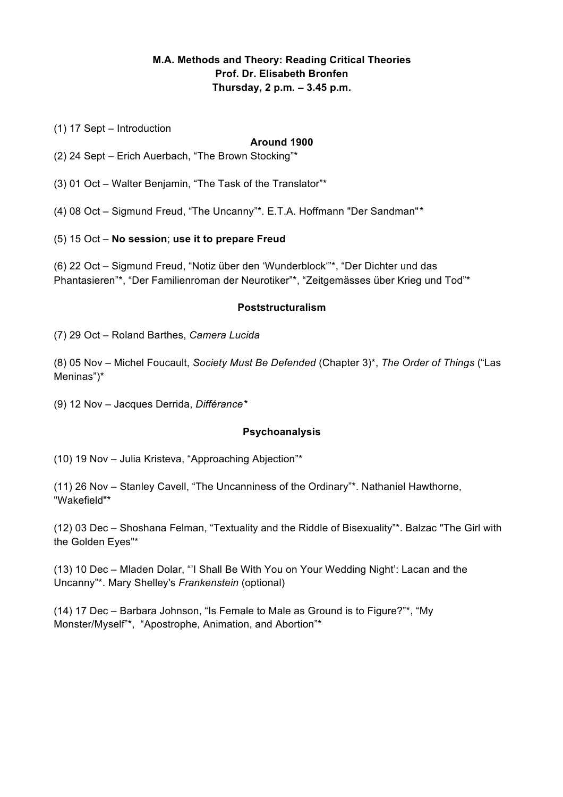# **M.A. Methods and Theory: Reading Critical Theories Prof. Dr. Elisabeth Bronfen Thursday, 2 p.m. – 3.45 p.m.**

(1) 17 Sept – Introduction

#### **Around 1900**

- (2) 24 Sept Erich Auerbach, "The Brown Stocking"\*
- (3) 01 Oct Walter Benjamin, "The Task of the Translator"\*
- (4) 08 Oct Sigmund Freud, "The Uncanny"\*. E.T.A. Hoffmann "Der Sandman"*\**
- (5) 15 Oct **No session**; **use it to prepare Freud**

(6) 22 Oct – Sigmund Freud, "Notiz über den 'Wunderblock'"\*, "Der Dichter und das Phantasieren"\*, "Der Familienroman der Neurotiker"\*, "Zeitgemässes über Krieg und Tod"\*

#### **Poststructuralism**

(7) 29 Oct – Roland Barthes, *Camera Lucida*

(8) 05 Nov – Michel Foucault, *Society Must Be Defended* (Chapter 3)\*, *The Order of Things* ("Las Meninas")\*

(9) 12 Nov – Jacques Derrida, *Différance\**

#### **Psychoanalysis**

(10) 19 Nov – Julia Kristeva, "Approaching Abjection"\*

(11) 26 Nov – Stanley Cavell, "The Uncanniness of the Ordinary"\*. Nathaniel Hawthorne, "Wakefield"\*

(12) 03 Dec – Shoshana Felman, "Textuality and the Riddle of Bisexuality"\*. Balzac "The Girl with the Golden Eyes"\*

(13) 10 Dec – Mladen Dolar, "'I Shall Be With You on Your Wedding Night': Lacan and the Uncanny"\*. Mary Shelley's *Frankenstein* (optional)

(14) 17 Dec – Barbara Johnson, "Is Female to Male as Ground is to Figure?"\*, "My Monster/Myself"\*, "Apostrophe, Animation, and Abortion"\*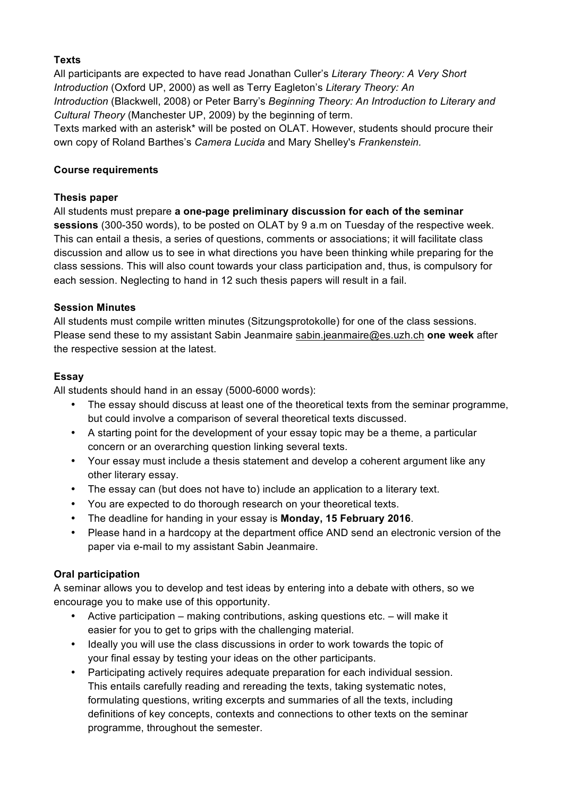# **Texts**

All participants are expected to have read Jonathan Culler's *Literary Theory: A Very Short Introduction* (Oxford UP, 2000) as well as Terry Eagleton's *Literary Theory: An Introduction* (Blackwell, 2008) or Peter Barry's *Beginning Theory: An Introduction to Literary and Cultural Theory* (Manchester UP, 2009) by the beginning of term.

Texts marked with an asterisk\* will be posted on OLAT. However, students should procure their own copy of Roland Barthes's *Camera Lucida* and Mary Shelley's *Frankenstein.*

#### **Course requirements**

## **Thesis paper**

All students must prepare **a one-page preliminary discussion for each of the seminar sessions** (300-350 words), to be posted on OLAT by 9 a.m on Tuesday of the respective week. This can entail a thesis, a series of questions, comments or associations; it will facilitate class discussion and allow us to see in what directions you have been thinking while preparing for the class sessions. This will also count towards your class participation and, thus, is compulsory for each session. Neglecting to hand in 12 such thesis papers will result in a fail.

### **Session Minutes**

All students must compile written minutes (Sitzungsprotokolle) for one of the class sessions. Please send these to my assistant Sabin Jeanmaire sabin.jeanmaire@es.uzh.ch **one week** after the respective session at the latest.

### **Essay**

All students should hand in an essay (5000-6000 words):

- The essay should discuss at least one of the theoretical texts from the seminar programme, but could involve a comparison of several theoretical texts discussed.
- A starting point for the development of your essay topic may be a theme, a particular concern or an overarching question linking several texts.
- Your essay must include a thesis statement and develop a coherent argument like any other literary essay.
- The essay can (but does not have to) include an application to a literary text.
- You are expected to do thorough research on your theoretical texts.
- The deadline for handing in your essay is **Monday, 15 February 2016**.
- Please hand in a hardcopy at the department office AND send an electronic version of the paper via e-mail to my assistant Sabin Jeanmaire.

# **Oral participation**

A seminar allows you to develop and test ideas by entering into a debate with others, so we encourage you to make use of this opportunity.

- Active participation making contributions, asking questions etc. will make it easier for you to get to grips with the challenging material.
- Ideally you will use the class discussions in order to work towards the topic of your final essay by testing your ideas on the other participants.
- Participating actively requires adequate preparation for each individual session. This entails carefully reading and rereading the texts, taking systematic notes, formulating questions, writing excerpts and summaries of all the texts, including definitions of key concepts, contexts and connections to other texts on the seminar programme, throughout the semester.